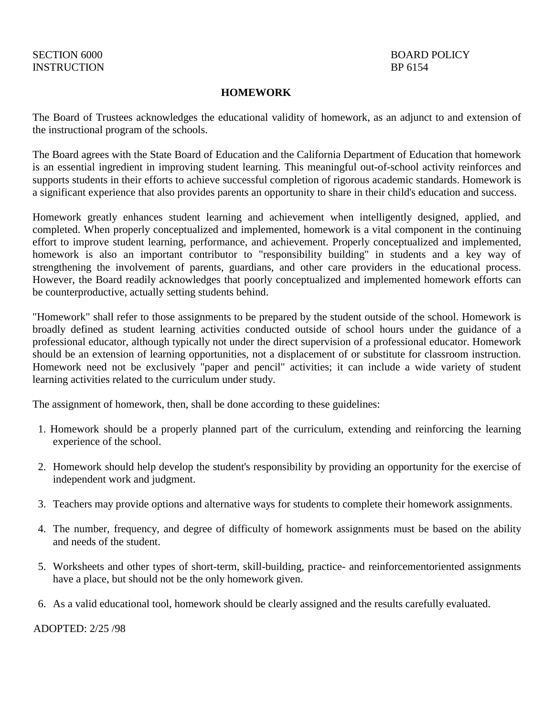## **HOMEWORK**

The Board of Trustees acknowledges the educational validity of homework, as an adjunct to and extension of the instructional program of the schools.

The Board agrees with the State Board of Education and the California Department of Education that homework is an essential ingredient in improving student learning. This meaningful out-of-school activity reinforces and supports students in their efforts to achieve successful completion of rigorous academic standards. Homework is a significant experience that also provides parents an opportunity to share in their child's education and success.

Homework greatly enhances student learning and achievement when intelligently designed, applied, and completed. When properly conceptualized and implemented, homework is a vital component in the continuing effort to improve student learning, performance, and achievement. Properly conceptualized and implemented, homework is also an important contributor to "responsibility building" in students and a key way of strengthening the involvement of parents, guardians, and other care providers in the educational process. However, the Board readily acknowledges that poorly conceptualized and implemented homework efforts can be counterproductive, actually setting students behind.

"Homework" shall refer to those assignments to be prepared by the student outside of the school. Homework is broadly defined as student learning activities conducted outside of school hours under the guidance of a professional educator, although typically not under the direct supervision of a professional educator. Homework should be an extension of learning opportunities, not a displacement of or substitute for classroom instruction. Homework need not be exclusively "paper and pencil" activities; it can include a wide variety of student learning activities related to the curriculum under study.

The assignment of homework, then, shall be done according to these guidelines:

- 1. Homework should be a properly planned part of the curriculum, extending and reinforcing the learning experience of the school.
- 2. Homework should help develop the student's responsibility by providing an opportunity for the exercise of independent work and judgment.
- 3. Teachers may provide options and alternative ways for students to complete their homework assignments.
- 4. The number, frequency, and degree of difficulty of homework assignments must be based on the ability and needs of the student.
- 5. Worksheets and other types of short-term, skill-building, practice- and reinforcementoriented assignments have a place, but should not be the only homework given.
- 6. As a valid educational tool, homework should be clearly assigned and the results carefully evaluated.

ADOPTED: 2/25 /98